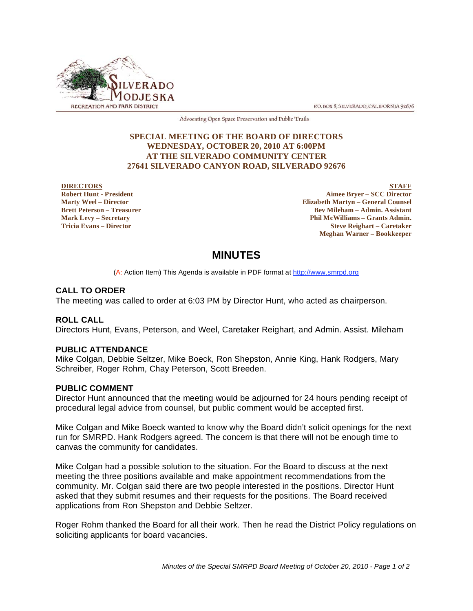

P.O. BOX 8, SILVERADO, CALIFORNIA 92676

Advocating Open Space Preservation and Public Trails

#### **SPECIAL MEETING OF THE BOARD OF DIRECTORS WEDNESDAY, OCTOBER 20, 2010 AT 6:00PM AT THE SILVERADO COMMUNITY CENTER 27641 SILVERADO CANYON ROAD, SILVERADO 92676**

#### **DIRECTORS Robert Hunt - President Marty Weel – Director Brett Peterson – Treasurer Mark Levy – Secretary Tricia Evans – Director**

**STAFF Aimee Bryer – SCC Director Elizabeth Martyn – General Counsel Bev Mileham – Admin. Assistant Phil McWilliams – Grants Admin. Steve Reighart – Caretaker Meghan Warner – Bookkeeper**

# **MINUTES**

(A: Action Item) This Agenda is available in PDF format at http://www.smrpd.org

## **CALL TO ORDER**

The meeting was called to order at 6:03 PM by Director Hunt, who acted as chairperson.

### **ROLL CALL**

Directors Hunt, Evans, Peterson, and Weel, Caretaker Reighart, and Admin. Assist. Mileham

### **PUBLIC ATTENDANCE**

Mike Colgan, Debbie Seltzer, Mike Boeck, Ron Shepston, Annie King, Hank Rodgers, Mary Schreiber, Roger Rohm, Chay Peterson, Scott Breeden.

### **PUBLIC COMMENT**

Director Hunt announced that the meeting would be adjourned for 24 hours pending receipt of procedural legal advice from counsel, but public comment would be accepted first.

Mike Colgan and Mike Boeck wanted to know why the Board didn't solicit openings for the next run for SMRPD. Hank Rodgers agreed. The concern is that there will not be enough time to canvas the community for candidates.

Mike Colgan had a possible solution to the situation. For the Board to discuss at the next meeting the three positions available and make appointment recommendations from the community. Mr. Colgan said there are two people interested in the positions. Director Hunt asked that they submit resumes and their requests for the positions. The Board received applications from Ron Shepston and Debbie Seltzer.

Roger Rohm thanked the Board for all their work. Then he read the District Policy regulations on soliciting applicants for board vacancies.